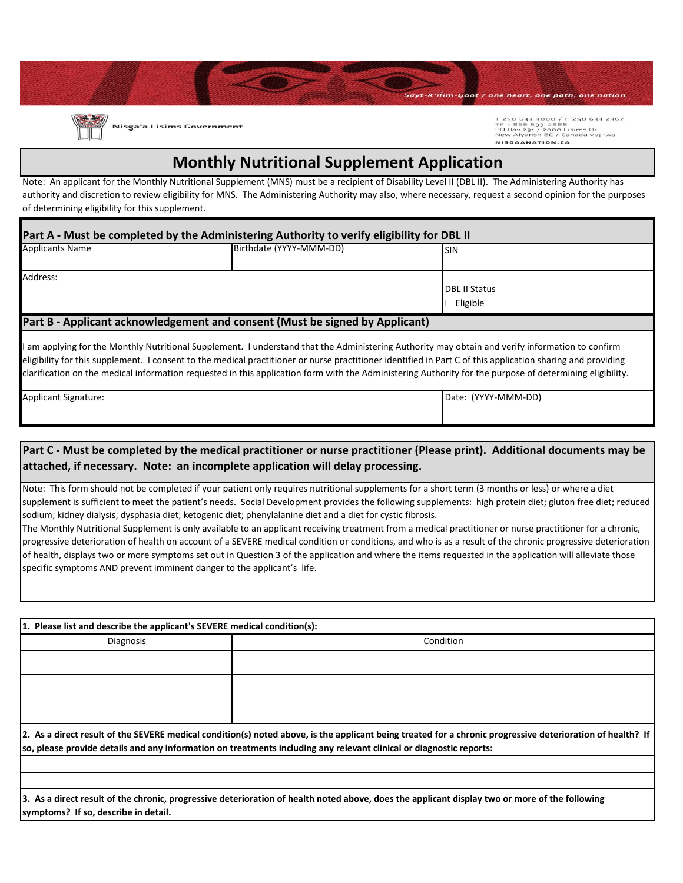



Nisga'a Lisims Government

T 250 633 3000 / F 250 633 2367<br>TF 1 866 633 0888<br>PO Box 231 / 2000 Lisims Dr<br>New Aiyansh BC / Canada voj 1A0 NISGAANATION.CA

## **Monthly Nutritional Supplement Application**

Note: An applicant for the Monthly Nutritional Supplement (MNS) must be a recipient of Disability Level II (DBL II). The Administering Authority has authority and discretion to review eligibility for MNS. The Administering Authority may also, where necessary, request a second opinion for the purposes of determining eligibility for this supplement.

| Part A - Must be completed by the Administering Authority to verify eligibility for DBL II |                         |                                  |  |
|--------------------------------------------------------------------------------------------|-------------------------|----------------------------------|--|
| <b>Applicants Name</b>                                                                     | Birthdate (YYYY-MMM-DD) | Isin                             |  |
| Address:                                                                                   |                         | <b>DBL II Status</b><br>Eligible |  |
| Part B - Annlicant acknowledgement and consent (Must be signed by Annlicant)               |                         |                                  |  |

## **Part B - Applicant acknowledgement and consent (Must be signed by Applicant)**

 $\mathcal{L}_\text{max} = \mathcal{L}_\text{max} = \mathcal{L}_\text{max} = \mathcal{L}_\text{max} = \mathcal{L}_\text{max} = \mathcal{L}_\text{max} = \mathcal{L}_\text{max} = \mathcal{L}_\text{max} = \mathcal{L}_\text{max} = \mathcal{L}_\text{max} = \mathcal{L}_\text{max} = \mathcal{L}_\text{max} = \mathcal{L}_\text{max} = \mathcal{L}_\text{max} = \mathcal{L}_\text{max} = \mathcal{L}_\text{max} = \mathcal{L}_\text{max} = \mathcal{L}_\text{max} = \mathcal{$ 

I am applying for the Monthly Nutritional Supplement. I understand that the Administering Authority may obtain and verify information to confirm eligibility for this supplement. I consent to the medical practitioner or nurse practitioner identified in Part C of this application sharing and providing clarification on the medical information requested in this application form with the Administering Authority for the purpose of determining eligibility.

Applicant Signature:

Date: (YYYY-MMM-DD)

**Part C - Must be completed by the medical practitioner or nurse practitioner (Please print). Additional documents may be attached, if necessary. Note: an incomplete application will delay processing.** 

Note: This form should not be completed if your patient only requires nutritional supplements for a short term (3 months or less) or where a diet supplement is sufficient to meet the patient's needs. Social Development provides the following supplements: high protein diet; gluton free diet; reduced sodium; kidney dialysis; dysphasia diet; ketogenic diet; phenylalanine diet and a diet for cystic fibrosis.

The Monthly Nutritional Supplement is only available to an applicant receiving treatment from a medical practitioner or nurse practitioner for a chronic, progressive deterioration of health on account of a SEVERE medical condition or conditions, and who is as a result of the chronic progressive deterioration of health, displays two or more symptoms set out in Question 3 of the application and where the items requested in the application will alleviate those specific symptoms AND prevent imminent danger to the applicant's life.

| 1. Please list and describe the applicant's SEVERE medical condition(s): |                                                                                                                                                                                                                                                                                     |  |
|--------------------------------------------------------------------------|-------------------------------------------------------------------------------------------------------------------------------------------------------------------------------------------------------------------------------------------------------------------------------------|--|
| <b>Diagnosis</b>                                                         | Condition                                                                                                                                                                                                                                                                           |  |
|                                                                          |                                                                                                                                                                                                                                                                                     |  |
|                                                                          |                                                                                                                                                                                                                                                                                     |  |
|                                                                          |                                                                                                                                                                                                                                                                                     |  |
|                                                                          | [2. As a direct result of the SEVERE medical condition(s) noted above, is the applicant being treated for a chronic progressive deterioration of health? If<br>lso, please provide details and any information on treatments including any relevant clinical or diagnostic reports: |  |

**3. As a direct result of the chronic, progressive deterioration of health noted above, does the applicant display two or more of the following symptoms? If so, describe in detail.**